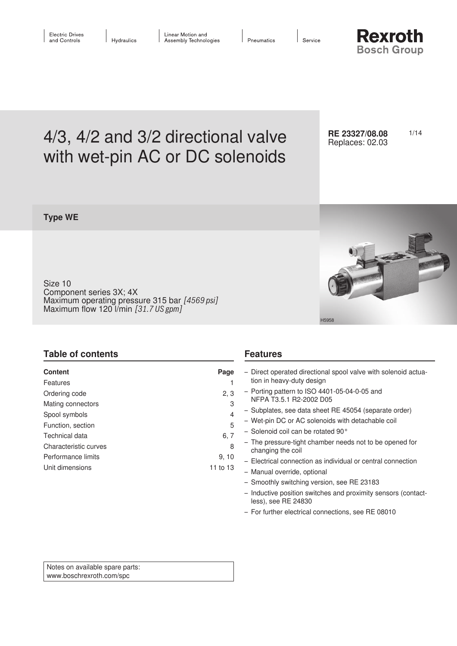Service

**Rexroth Bosch Group** 

# 4/3, 4/2 and 3/2 directional valve RE 23327/08.08 1/14 with wet-pin AC or DC solenoids

**RE 23327/08.08** Replaces: 02.03

## **Type WE**

Size 10 Component series 3X; 4X Maximum operating pressure 315 bar *[4569 psi]* Maximum flow 120 l/min *[31.7 US gpm]*



# **Table of contents**

| <b>Content</b><br>Features              | Page              | - Direct operated directional spool valve with solenoid actua-<br>tion in heavy-duty design                 |
|-----------------------------------------|-------------------|-------------------------------------------------------------------------------------------------------------|
| Ordering code                           | 2, 3<br>3         | $-$ Porting pattern to ISO 4401-05-04-0-05 and<br>NFPA T3.5.1 R2-2002 D05                                   |
| Mating connectors<br>Spool symbols      | 4                 | - Subplates, see data sheet RE 45054 (separate order)                                                       |
| Function, section                       | 5                 | - Wet-pin DC or AC solenoids with detachable coil<br>- Solenoid coil can be rotated 90 $^{\circ}$           |
| Technical data<br>Characteristic curves | 6, 7<br>8         | - The pressure-tight chamber needs not to be opened for<br>changing the coil                                |
| Performance limits<br>Unit dimensions   | 9, 10<br>11 to 13 | - Electrical connection as individual or central connection<br>- Manual override, optional                  |
|                                         |                   | - Smoothly switching version, see RE 23183<br>- Inductive position switches and proximity sensors (contact- |

**Features**

less), see RE 24830

– For further electrical connections, see RE 08010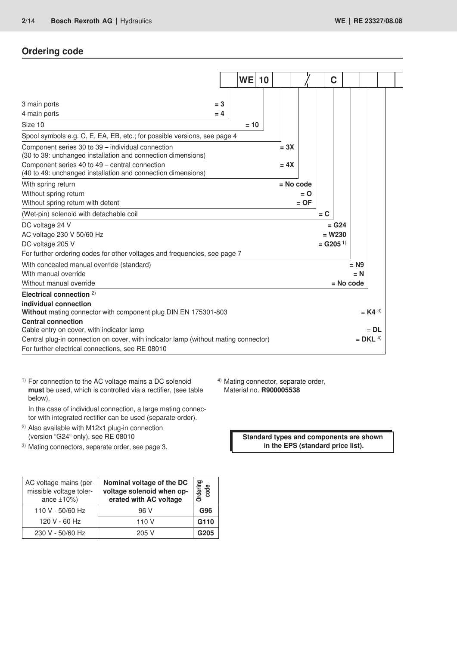# **Ordering code**

|                                                                                     | WE     | 10 |             | C                      |                 |            |
|-------------------------------------------------------------------------------------|--------|----|-------------|------------------------|-----------------|------------|
|                                                                                     |        |    |             |                        |                 |            |
| 3 main ports<br>$=$ 3                                                               |        |    |             |                        |                 |            |
| 4 main ports<br>$= 4$                                                               |        |    |             |                        |                 |            |
| Size 10                                                                             | $= 10$ |    |             |                        |                 |            |
| Spool symbols e.g. C, E, EA, EB, etc.; for possible versions, see page 4            |        |    |             |                        |                 |            |
| Component series 30 to 39 - individual connection                                   |        |    | $= 3X$      |                        |                 |            |
| (30 to 39: unchanged installation and connection dimensions)                        |        |    |             |                        |                 |            |
| Component series 40 to 49 – central connection                                      |        |    | $= 4X$      |                        |                 |            |
| (40 to 49: unchanged installation and connection dimensions)                        |        |    |             |                        |                 |            |
| With spring return                                                                  |        |    | $=$ No code |                        |                 |            |
| Without spring return                                                               |        |    | $= 0$       |                        |                 |            |
| Without spring return with detent                                                   |        |    | $=$ OF      |                        |                 |            |
| (Wet-pin) solenoid with detachable coil                                             |        |    |             | $= C$                  |                 |            |
| DC voltage 24 V                                                                     |        |    |             | $=$ G <sub>24</sub>    |                 |            |
| AC voltage 230 V 50/60 Hz                                                           |        |    |             | $= W230$               |                 |            |
| DC voltage 205 V                                                                    |        |    |             | $=$ G205 <sup>1)</sup> |                 |            |
| For further ordering codes for other voltages and frequencies, see page 7           |        |    |             |                        |                 |            |
| With concealed manual override (standard)                                           |        |    |             |                        | $= N9$          |            |
| With manual override                                                                |        |    |             |                        | $= N$           |            |
| Without manual override                                                             |        |    |             |                        | $=$ No code     |            |
| Electrical connection $2$                                                           |        |    |             |                        |                 |            |
| individual connection                                                               |        |    |             |                        |                 |            |
| Without mating connector with component plug DIN EN 175301-803                      |        |    |             |                        |                 | $= K4^{3}$ |
| <b>Central connection</b>                                                           |        |    |             |                        |                 |            |
| Cable entry on cover, with indicator lamp                                           |        |    |             |                        |                 | $=$ DL     |
| Central plug-in connection on cover, with indicator lamp (without mating connector) |        |    |             |                        | $=$ DKL $^{4)}$ |            |
| For further electrical connections, see RE 08010                                    |        |    |             |                        |                 |            |

<sup>1)</sup> For connection to the AC voltage mains a DC solenoid **must** be used, which is controlled via a rectifier, (see table below).

In the case of individual connection, a large mating connector with integrated rectifier can be used (separate order).

- 2) Also available with M12x1 plug-in connection (version "G24" only), see RE 08010
- 3) Mating connectors, separate order, see page 3.

| AC voltage mains (per-<br>missible voltage toler-<br>ance $\pm 10\%$ ) | Nominal voltage of the DC<br>voltage solenoid when op-<br>erated with AC voltage | <b>Indering</b><br>code<br>∩ |
|------------------------------------------------------------------------|----------------------------------------------------------------------------------|------------------------------|
| 110 V - 50/60 Hz                                                       | 96 V                                                                             | G96                          |
| 120 V - 60 Hz                                                          | 110 V                                                                            | G110                         |
| 230 V - 50/60 Hz                                                       | 205 V                                                                            | G205                         |

4) Mating connector, separate order, Material no. **R900005538**

> **Standard types and components are shown in the EPS (standard price list).**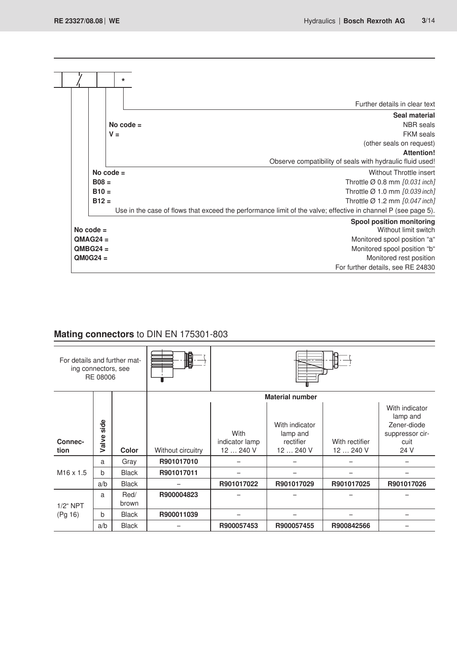|             | $\star$     |                                                                                                               |
|-------------|-------------|---------------------------------------------------------------------------------------------------------------|
|             |             | Further details in clear text                                                                                 |
|             |             |                                                                                                               |
|             | No code $=$ | Seal material<br><b>NBR</b> seals                                                                             |
|             | $V =$       | <b>FKM</b> seals                                                                                              |
|             |             | (other seals on request)                                                                                      |
|             |             | <b>Attention!</b>                                                                                             |
|             |             | Observe compatibility of seals with hydraulic fluid used!                                                     |
|             | No code $=$ | Without Throttle insert                                                                                       |
| $B08 =$     |             | Throttle $\varnothing$ 0.8 mm [0.031 inch]                                                                    |
| $B10=$      |             | Throttle $\varnothing$ 1.0 mm $[0.039$ inch]                                                                  |
| $B12 =$     |             | Throttle $\varnothing$ 1.2 mm [0.047 inch]                                                                    |
|             |             | Use in the case of flows that exceed the performance limit of the valve; effective in channel P (see page 5). |
|             |             | <b>Spool position monitoring</b>                                                                              |
| No code $=$ |             | Without limit switch                                                                                          |
| $OMAG24 =$  |             | Monitored spool position "a"                                                                                  |
| $QMBG24 =$  |             | Monitored spool position "b"                                                                                  |
| $QMOG24 =$  |             | Monitored rest position                                                                                       |
|             |             | For further details, see RE 24830                                                                             |

# **Mating connectors** to DIN EN 175301-803

| For details and further mat-<br>ing connectors, see | RE 08006      |               | 順                 |                                     |                                                      |                             |                                                                              |  |
|-----------------------------------------------------|---------------|---------------|-------------------|-------------------------------------|------------------------------------------------------|-----------------------------|------------------------------------------------------------------------------|--|
|                                                     |               |               |                   |                                     | <b>Material number</b>                               |                             |                                                                              |  |
| Connec-<br>tion                                     | side<br>Valve | Color         | Without circuitry | With<br>indicator lamp<br>12  240 V | With indicator<br>lamp and<br>rectifier<br>12  240 V | With rectifier<br>12  240 V | With indicator<br>lamp and<br>Zener-diode<br>suppressor cir-<br>cuit<br>24 V |  |
|                                                     | a             | Gray          | R901017010        |                                     |                                                      |                             |                                                                              |  |
| $M16 \times 1.5$                                    | $\mathsf{h}$  | <b>Black</b>  | R901017011        |                                     |                                                      |                             |                                                                              |  |
|                                                     | a/b           | <b>Black</b>  |                   | R901017022                          | R901017029                                           | R901017025                  | R901017026                                                                   |  |
| $1/2$ " NPT                                         | a             | Red/<br>brown | R900004823        |                                     |                                                      |                             |                                                                              |  |
| (Pg 16)                                             | b             | <b>Black</b>  | R900011039        |                                     |                                                      |                             |                                                                              |  |
|                                                     | a/b           | <b>Black</b>  |                   | R900057453                          | R900057455                                           | R900842566                  |                                                                              |  |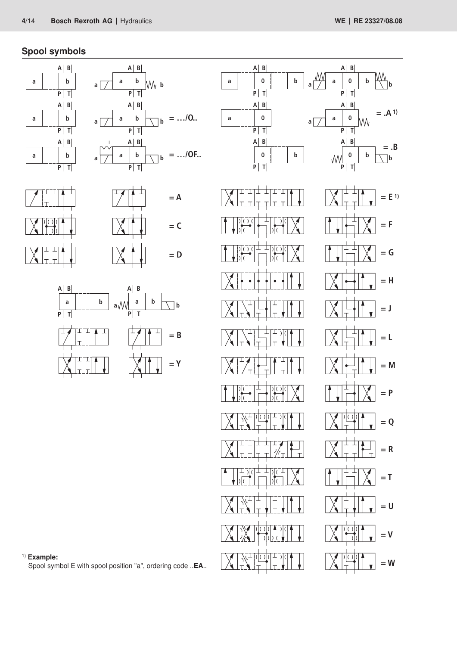$= .A^{1}$ 

**= .B**

# **Spool symbols**













1) **Example:**

Spool symbol E with spool position "a", ordering code ..**EA**..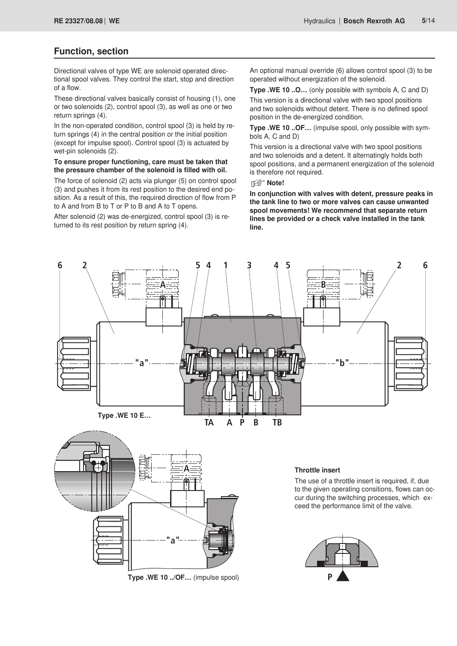### **Function, section**

Directional valves of type WE are solenoid operated directional spool valves. They control the start, stop and direction of a flow.

These directional valves basically consist of housing (1), one or two solenoids (2), control spool (3), as well as one or two return springs (4).

In the non-operated condition, control spool (3) is held by return springs (4) in the central position or the initial position (except for impulse spool). Control spool (3) is actuated by wet-pin solenoids (2).

#### **To ensure proper functioning, care must be taken that the pressure chamber of the solenoid is filled with oil.**

The force of solenoid (2) acts via plunger (5) on control spool (3) and pushes it from its rest position to the desired end position. As a result of this, the required direction of flow from P to A and from B to T or P to B and A to T opens.

After solenoid (2) was de-energized, control spool (3) is returned to its rest position by return spring (4).

An optional manual override (6) allows control spool (3) to be operated without energization of the solenoid.

**Type .WE 10 ..O…** (only possible with symbols A, C and D)

This version is a directional valve with two spool positions and two solenoids without detent. There is no defined spool position in the de-energized condition.

**Type .WE 10 ..OF…** (impulse spool, only possible with symbols A, C and D)

This version is a directional valve with two spool positions and two solenoids and a detent. It alternatingly holds both spool positions, and a permanent energization of the solenoid is therefore not required.

### **Note!**

**In conjunction with valves with detent, pressure peaks in the tank line to two or more valves can cause unwanted spool movements! We recommend that separate return lines be provided or a check valve installed in the tank line.**





### **Throttle insert**

The use of a throttle insert is required, if, due to the given operating consitions, flows can occur during the switching processes, which exceed the performance limit of the valve.

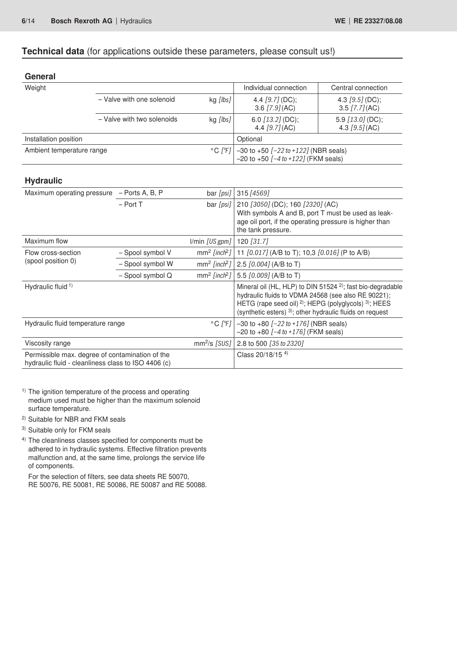### **Technical data** (for applications outside these parameters, please consult us!)

| General                                                                                                |                            |                              |                                                                                                                                                                                                 |                                                                        |  |
|--------------------------------------------------------------------------------------------------------|----------------------------|------------------------------|-------------------------------------------------------------------------------------------------------------------------------------------------------------------------------------------------|------------------------------------------------------------------------|--|
| Weight                                                                                                 |                            |                              | Individual connection                                                                                                                                                                           | Central connection                                                     |  |
|                                                                                                        | - Valve with one solenoid  | kg [lbs]                     | 4.4 $[9.7]$ (DC);<br>3.6 $[7.9]$ (AC)                                                                                                                                                           | 4.3 $[9.5]$ (DC);<br>$3.5$ [7.7] (AC)                                  |  |
|                                                                                                        | - Valve with two solenoids | kg [lbs]                     | 6.0 [13.2] (DC);<br>4.4 $[9.7] (AC)$                                                                                                                                                            | 5.9 $[13.0]$ (DC);<br>4.3 $[9.5] (AC)$                                 |  |
| Installation position                                                                                  |                            |                              | Optional                                                                                                                                                                                        |                                                                        |  |
| Ambient temperature range                                                                              |                            | $^{\circ}$ C [ $^{\circ}$ F] | $-30$ to $+50$ $[-22$ to $+122]$ (NBR seals)<br>$-20$ to $+50$ $[-4$ to $+122]$ (FKM seals)                                                                                                     |                                                                        |  |
| <b>Hydraulic</b>                                                                                       |                            |                              |                                                                                                                                                                                                 |                                                                        |  |
| Maximum operating pressure                                                                             | - Ports A, B, P            | bar [psi]                    | 315 [4569]                                                                                                                                                                                      |                                                                        |  |
|                                                                                                        | $-$ Port T                 | bar [psi]                    | 210 [3050] (DC); 160 [2320] (AC)<br>With symbols A and B, port T must be used as leak-<br>age oil port, if the operating pressure is higher than<br>the tank pressure.                          |                                                                        |  |
| Maximum flow                                                                                           |                            | I/min [US gpm]               | 120 [31.7]                                                                                                                                                                                      |                                                                        |  |
| Flow cross-section                                                                                     | - Spool symbol V           | $mm2$ [inch <sup>2</sup> ]   | 11 [0.017] (A/B to T); 10,3 [0.016] (P to A/B)                                                                                                                                                  |                                                                        |  |
| (spool position 0)                                                                                     | - Spool symbol W           | $mm2$ [inch <sup>2</sup> ]   | 2.5 [0.004] (A/B to T)                                                                                                                                                                          |                                                                        |  |
|                                                                                                        | - Spool symbol Q           | $mm2$ [inch <sup>2</sup> ]   | 5.5 [0.009] (A/B to T)                                                                                                                                                                          |                                                                        |  |
| Hydraulic fluid <sup>1)</sup>                                                                          |                            |                              | hydraulic fluids to VDMA 24568 (see also RE 90221);<br>HETG (rape seed oil) <sup>2)</sup> ; HEPG (polyglycols) <sup>3)</sup> ; HEES<br>(synthetic esters) 3); other hydraulic fluids on request | Mineral oil (HL, HLP) to DIN 51524 <sup>2)</sup> ; fast bio-degradable |  |
| Hydraulic fluid temperature range                                                                      |                            | $^{\circ}$ C [ $^{\circ}$ F] | $-30$ to $+80$ $[-22$ to $+176$ ] (NBR seals)<br>$-20$ to $+80$ $[-4$ to $+176$ ] (FKM seals)                                                                                                   |                                                                        |  |
| Viscosity range                                                                                        |                            | $mm2/s$ [SUS]                | 2.8 to 500 [35 to 2320]                                                                                                                                                                         |                                                                        |  |
| Permissible max. degree of contamination of the<br>hydraulic fluid - cleanliness class to ISO 4406 (c) |                            | Class 20/18/15 4)            |                                                                                                                                                                                                 |                                                                        |  |

- <sup>1)</sup> The ignition temperature of the process and operating medium used must be higher than the maximum solenoid surface temperature.
- 2) Suitable for NBR and FKM seals
- 3) Suitable only for FKM seals
- 4) The cleanliness classes specified for components must be adhered to in hydraulic systems. Effective filtration prevents malfunction and, at the same time, prolongs the service life of components.

For the selection of filters, see data sheets RE 50070, RE 50076, RE 50081, RE 50086, RE 50087 and RE 50088.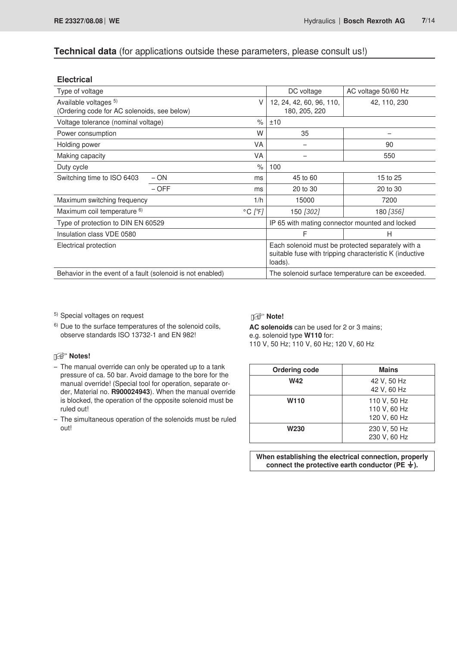### **Technical data** (for applications outside these parameters, please consult us!)

| <b>Electrical</b>                                                         |         |                              |                                                                                                                         |                     |  |
|---------------------------------------------------------------------------|---------|------------------------------|-------------------------------------------------------------------------------------------------------------------------|---------------------|--|
| Type of voltage                                                           |         |                              | DC voltage                                                                                                              | AC voltage 50/60 Hz |  |
| Available voltages 5)<br>V<br>(Ordering code for AC solenoids, see below) |         |                              | 12, 24, 42, 60, 96, 110,<br>42, 110, 230<br>180, 205, 220                                                               |                     |  |
| Voltage tolerance (nominal voltage)                                       |         | $\frac{1}{\alpha}$           | ±10                                                                                                                     |                     |  |
| Power consumption                                                         |         | W                            | 35                                                                                                                      |                     |  |
| <b>VA</b><br>Holding power                                                |         |                              |                                                                                                                         | 90                  |  |
| Making capacity                                                           |         | <b>VA</b>                    |                                                                                                                         | 550                 |  |
| Duty cycle                                                                |         | $\frac{1}{2}$                | 100                                                                                                                     |                     |  |
| Switching time to ISO 6403                                                | $- ON$  | ms                           | 45 to 60                                                                                                                | 15 to 25            |  |
|                                                                           | $-$ OFF | ms                           | 20 to 30                                                                                                                | 20 to 30            |  |
| Maximum switching frequency                                               |         | 1/h                          | 15000                                                                                                                   | 7200                |  |
| Maximum coil temperature 6)                                               |         | $^{\circ}$ C [ $^{\circ}$ F] | 150 [302]                                                                                                               | 180 [356]           |  |
| Type of protection to DIN EN 60529                                        |         |                              | IP 65 with mating connector mounted and locked                                                                          |                     |  |
| Insulation class VDE 0580                                                 |         |                              | F                                                                                                                       | H                   |  |
| Electrical protection                                                     |         |                              | Each solenoid must be protected separately with a<br>suitable fuse with tripping characteristic K (inductive<br>loads). |                     |  |
| Behavior in the event of a fault (solenoid is not enabled)                |         |                              | The solenoid surface temperature can be exceeded.                                                                       |                     |  |
|                                                                           |         |                              |                                                                                                                         |                     |  |

5) Special voltages on request

**Notes!** 

6) Due to the surface temperatures of the solenoid coils, observe standards ISO 13732-1 and EN 982!

# **Note!**

**AC solenoids** can be used for 2 or 3 mains; e.g. solenoid type **W110** for: 110 V, 50 Hz; 110 V, 60 Hz; 120 V, 60 Hz

#### – The manual override can only be operated up to a tank pressure of ca. 50 bar. Avoid damage to the bore for the manual override! (Special tool for operation, separate order, Material no. **R900024943**). When the manual override is blocked, the operation of the opposite solenoid must be ruled out!

– The simultaneous operation of the solenoids must be ruled out!

| <b>Ordering code</b> | <b>Mains</b>                                 |
|----------------------|----------------------------------------------|
| W42                  | 42 V, 50 Hz<br>42 V, 60 Hz                   |
| W <sub>110</sub>     | 110 V, 50 Hz<br>110 V, 60 Hz<br>120 V, 60 Hz |
| W <sub>230</sub>     | 230 V, 50 Hz<br>230 V, 60 Hz                 |

**When establishing the electrical connection, properly**  connect the protective earth conductor ( $PE \neq$ ).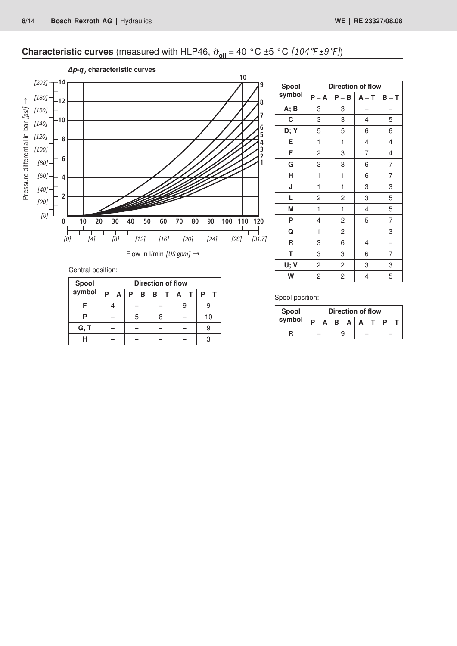# **Characteristic curves** (measured with HLP46,  $\vartheta_{oil} = 40 °C \pm 5 °C$  *[104 °F ±9 °F]*)



Central position:

| Spool<br>symbol | Direction of flow |   |  |                                         |    |  |  |
|-----------------|-------------------|---|--|-----------------------------------------|----|--|--|
|                 |                   |   |  | $P - A   P - B   B - T   A - T   P - T$ |    |  |  |
|                 |                   |   |  |                                         |    |  |  |
|                 |                   | 5 |  |                                         | 10 |  |  |
| G, T            |                   |   |  |                                         |    |  |  |
| н               |                   |   |  |                                         |    |  |  |

| Spool  | <b>Direction of flow</b> |                |                |       |  |  |  |
|--------|--------------------------|----------------|----------------|-------|--|--|--|
| symbol | $P - A$                  | $P - B$        | $A - T$        | $B-T$ |  |  |  |
| A; B   | 3                        | 3              |                |       |  |  |  |
| C      | 3                        | 3              | 4              | 5     |  |  |  |
| D; Y   | 5                        | 5              | 6              | 6     |  |  |  |
| E      | 1                        | 1              | 4              | 4     |  |  |  |
| F      | $\overline{c}$           | 3              | $\overline{7}$ | 4     |  |  |  |
| G      | 3                        | 3              | 6              | 7     |  |  |  |
| н      | 1                        | 1              | 6              | 7     |  |  |  |
| J      | 1                        | 1              | 3              | 3     |  |  |  |
| L      | $\overline{c}$           | $\overline{c}$ | 3              | 5     |  |  |  |
| M      | 1                        | 1              | 4              | 5     |  |  |  |
| P      | 4                        | $\overline{c}$ | 5              | 7     |  |  |  |
| Q      | 1                        | 2              | 1              | 3     |  |  |  |
| R      | 3                        | 6              | 4              |       |  |  |  |
| т      | 3                        | 3              | 6              | 7     |  |  |  |
| U; V   | $\overline{c}$           | 2              | 3              | 3     |  |  |  |
| W      | 2                        | 2              | 4              | 5     |  |  |  |

Spool position:

| Spool  | Direction of flow |                           |  |  |  |
|--------|-------------------|---------------------------|--|--|--|
| symbol |                   | $P - A   B - A   A - T  $ |  |  |  |
|        |                   |                           |  |  |  |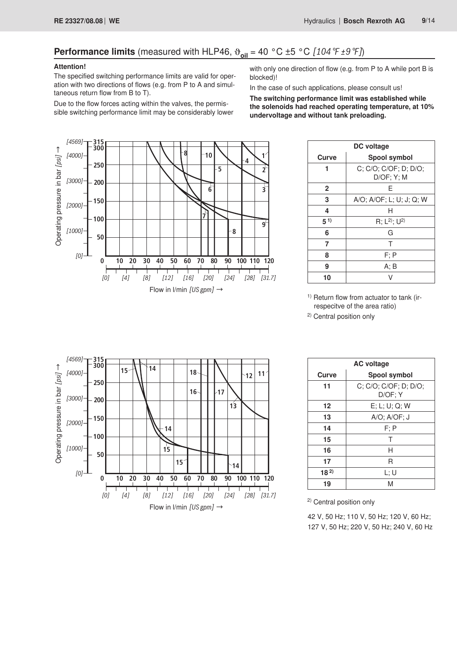# **Performance limits** (measured with HLP46,  $\vartheta_{\text{oil}} = 40 \degree \text{C} \pm 5 \degree \text{C}$  [104  $\degree \text{F} \pm 9 \degree \text{F}$ ])

### **Attention!**

The specified switching performance limits are valid for operation with two directions of flows (e.g. from P to A and simultaneous return flow from B to T).

Due to the flow forces acting within the valves, the permissible switching performance limit may be considerably lower with only one direction of flow (e.g. from P to A while port B is blocked)!

In the case of such applications, please consult us!

**The switching performance limit was established while the solenoids had reached operating temperature, at 10% undervoltage and without tank preloading.**



|              | DC voltage                                |  |  |  |  |
|--------------|-------------------------------------------|--|--|--|--|
| Curve        | Spool symbol                              |  |  |  |  |
|              | C; C/O; C/OF; D; D/O;<br>$D/OF$ ; $Y$ ; M |  |  |  |  |
| $\mathbf{2}$ | F                                         |  |  |  |  |
| 3            | A/O; A/OF; L; U; J; Q; W                  |  |  |  |  |
| 4            | н                                         |  |  |  |  |
| $5^{1}$      | R; $L^{2}$ ; $U^{2}$                      |  |  |  |  |
| 6            | G                                         |  |  |  |  |
| 7            | т                                         |  |  |  |  |
| 8            | F; P                                      |  |  |  |  |
| 9            | A; B                                      |  |  |  |  |
| 10           |                                           |  |  |  |  |

<sup>1)</sup> Return flow from actuator to tank (irrespecitve of the area ratio)

2) Central position only



| <b>AC voltage</b> |                                  |
|-------------------|----------------------------------|
| Curve             | <b>Spool symbol</b>              |
| 11                | C; C/O; C/OF; D; D/O;<br>D/OF; Y |
| 12                | E; L; U; Q; W                    |
| 13                | A/O; A/OF; J                     |
| 14                | $F$ ; $P$                        |
| 15                | Т                                |
| 16                | н                                |
| 17                | R                                |
| $18^{2}$          | L: U                             |
| 19                | M                                |

2) Central position only

42 V, 50 Hz; 110 V, 50 Hz; 120 V, 60 Hz; 127 V, 50 Hz; 220 V, 50 Hz; 240 V, 60 Hz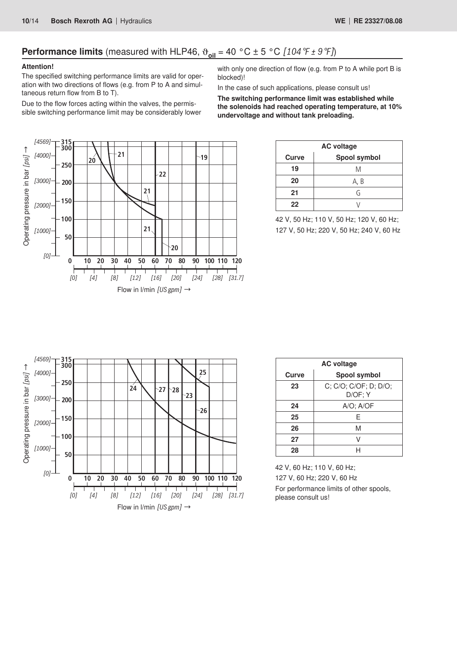# **Performance limits** (measured with HLP46,  $\vartheta_{\text{oil}} = 40 \degree C \pm 5 \degree C$  [104  $\varphi \neq 9 \degree F$ ])

### **Attention!**

The specified switching performance limits are valid for operation with two directions of flows (e.g. from P to A and simultaneous return flow from B to T).

Due to the flow forces acting within the valves, the permissible switching performance limit may be considerably lower with only one direction of flow (e.g. from P to A while port B is blocked)!

In the case of such applications, please consult us!

**The switching performance limit was established while the solenoids had reached operating temperature, at 10% undervoltage and without tank preloading.**



| <b>AC voltage</b> |              |  |
|-------------------|--------------|--|
| <b>Curve</b>      | Spool symbol |  |
| 19                | Μ            |  |
| 20                | A, B         |  |
| 21                | G            |  |
| 22                |              |  |

42 V, 50 Hz; 110 V, 50 Hz; 120 V, 60 Hz; 127 V, 50 Hz; 220 V, 50 Hz; 240 V, 60 Hz



| <b>AC voltage</b> |                                  |  |
|-------------------|----------------------------------|--|
| Curve             | Spool symbol                     |  |
| 23                | C; C/O; C/OF; D; D/O;<br>D/OF; Y |  |
| 24                | $A/O$ ; $A/OF$                   |  |
| 25                | F                                |  |
| 26                | M                                |  |
| 27                |                                  |  |
| 28                |                                  |  |

42 V, 60 Hz; 110 V, 60 Hz; 127 V, 60 Hz; 220 V, 60 Hz For performance limits of other spools, please consult us!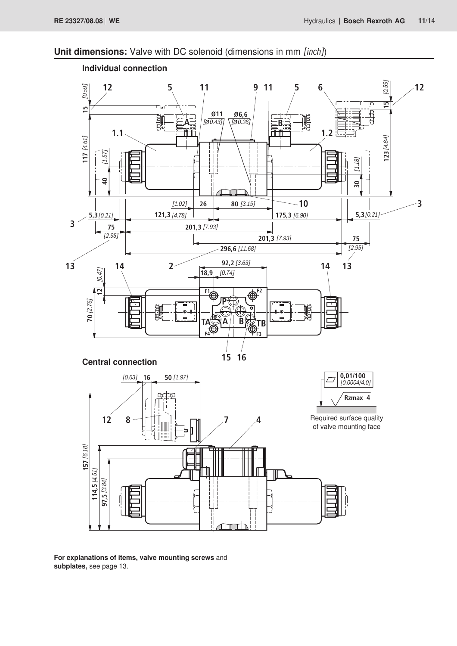# **Unit dimensions:** Valve with DC solenoid (dimensions in mm *[inch]*)



**For explanations of items, valve mounting screws** and **subplates,** see page 13.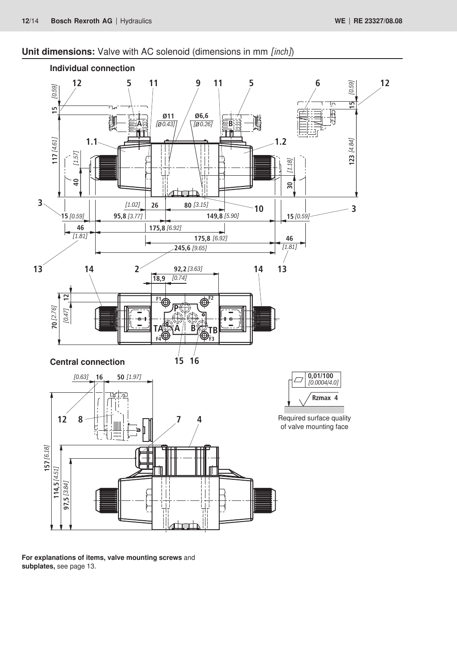# **Unit dimensions:** Valve with AC solenoid (dimensions in mm *[inch]*)



**For explanations of items, valve mounting screws** and **subplates,** see page 13.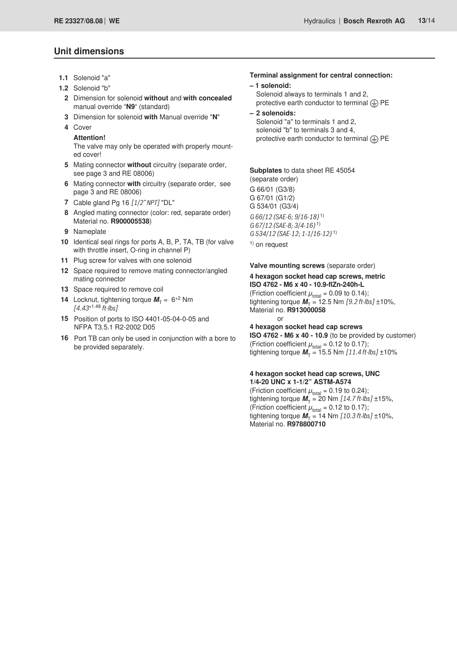### **Unit dimensions**

- **1.1** Solenoid "a"
- **1.2** Solenoid "b"
	- **2** Dimension for solenoid **without** and **with concealed** manual override "**N9**" (standard)
	- **3** Dimension for solenoid **with** Manual override "**N**"
	- **4** Cover

#### **Attention!**

The valve may only be operated with properly mounted cover!

- **5** Mating connector **without** circuitry (separate order, see page 3 and RE 08006)
- **6** Mating connector **with** circuitry (separate order, see page 3 and RE 08006)
- **7** Cable gland Pg 16 *[1/2" NPT]* "DL"
- **8** Angled mating connector (color: red, separate order) Material no. **R900005538**)
- **9** Nameplate
- **10** Identical seal rings for ports A, B, P, TA, TB (for valve with throttle insert, O-ring in channel P)
- **11** Plug screw for valves with one solenoid
- **12** Space required to remove mating connector/angled mating connector
- **13** Space required to remove coil
- **14** Locknut, tightening torque  $M_T = 6^{+2}$  Nm *[4.43*+1.48 *ft-lbs]*
- **15** Position of ports to ISO 4401-05-04-0-05 and NFPA T3.5.1 R2-2002 D05
- **16** Port TB can only be used in conjunction with a bore to be provided separately.

### **Terminal assignment for central connection:**

### **– 1 solenoid:**

Solenoid always to terminals 1 and 2, protective earth conductor to terminal  $\textcircled{1}$  PE

**– 2 solenoids:**

Solenoid "a" to terminals 1 and 2, solenoid "b" to terminals 3 and 4, protective earth conductor to terminal  $\textcircled{1}$  PE

**Subplates** to data sheet RE 45054 (separate order) G 66/01 (G3/8) G 67/01 (G1/2) G 534/01 (G3/4) *G 66/12 (SAE-6; 9/16-18)* 1) *G 67/12 (SAE-8; 3/4-16)* 1) *G 534/12 (SAE-12; 1-1/16-12)* 1)  $<sup>1</sup>$  on request</sup>

**Valve mounting screws** (separate order)

#### **4 hexagon socket head cap screws, metric ISO 4762 - M6 x 40 - 10.9-flZn-240h-L**

(Friction coefficient  $\mu_{\text{total}} = 0.09$  to 0.14); tightening torque  $M_T = 12.5$  Nm  $[9.2$  ft-lbs]  $\pm 10\%$ , Material no. **R913000058** or

**4 hexagon socket head cap screws** 

**ISO 4762 - M6 x 40 - 10.9** (to be provided by customer) (Friction coefficient  $\mu_{\text{total}} = 0.12$  to 0.17); tightening torque  $M_T = 15.5$  Nm  $[11.4 \text{ ft-lbs}] \pm 10\%$ 

### **4 hexagon socket head cap screws, UNC**

**1/4-20 UNC x 1-1/2" ASTM-A574** (Friction coefficient  $\mu_{\text{total}} = 0.19$  to 0.24); tightening torque  $\vec{M}_T = 20$  Nm  $[14.7 \text{ ft-lbs}] \pm 15\%$ , (Friction coefficient  $\mu_{\text{total}} = 0.12$  to 0.17); tightening torque  $M_T = 14$  Nm  $[10.3 \text{ ft-lbs}] \pm 10\%$ , Material no. **R978800710**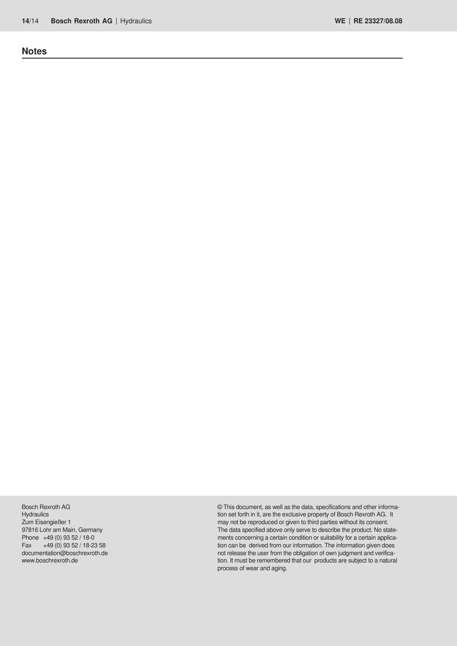**Notes**

Bosch Rexroth AG **Hydraulics** Zum Eisengießer 1 97816 Lohr am Main, Germany Phone +49 (0) 93 52 / 18-0 Fax  $+49(0)$  93 52 / 18-23 58 documentation@boschrexroth.de www.boschrexroth.de

© This document, as well as the data, specifications and other information set forth in it, are the exclusive property of Bosch Rexroth AG. It may not be reproduced or given to third parties without its consent. The data specified above only serve to describe the product. No statements concerning a certain condition or suitability for a certain application can be derived from our information. The information given does not release the user from the obligation of own judgment and verification. It must be remembered that our products are subject to a natural process of wear and aging.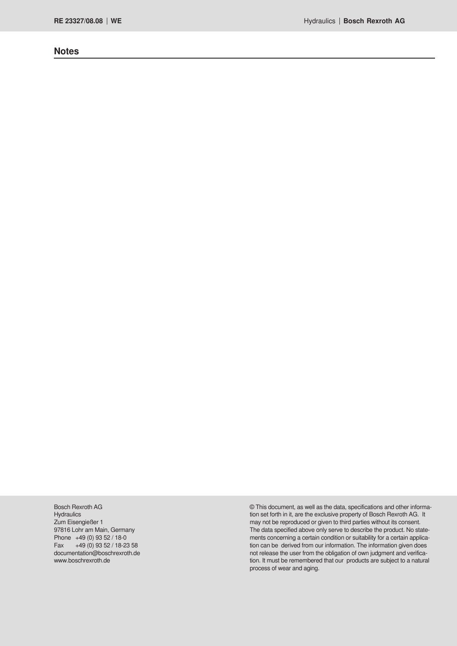### **Notes**

Bosch Rexroth AG **Hydraulics** Zum Eisengießer 1 97816 Lohr am Main, Germany Phone +49 (0) 93 52 / 18-0 Fax  $+49(0)$  93 52 / 18-23 58 documentation@boschrexroth.de www.boschrexroth.de

© This document, as well as the data, specifications and other information set forth in it, are the exclusive property of Bosch Rexroth AG. It may not be reproduced or given to third parties without its consent. The data specified above only serve to describe the product. No statements concerning a certain condition or suitability for a certain application can be derived from our information. The information given does not release the user from the obligation of own judgment and verification. It must be remembered that our products are subject to a natural process of wear and aging.